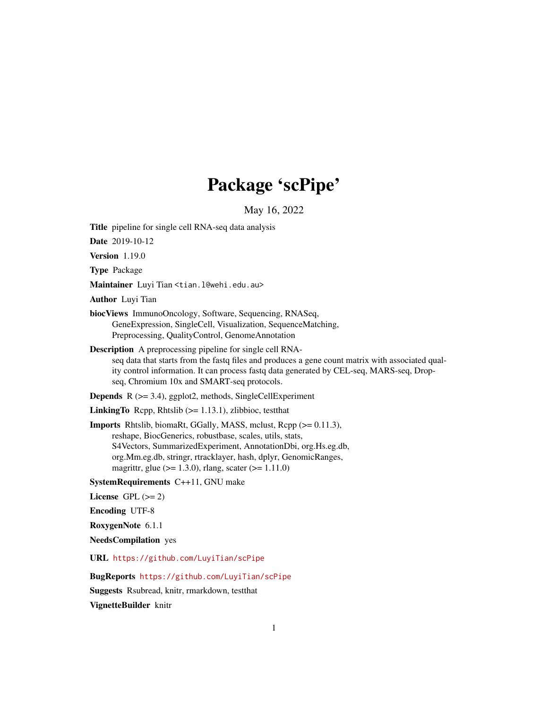# Package 'scPipe'

May 16, 2022

<span id="page-0-0"></span>

| <b>Title</b> pipeline for single cell RNA-seq data analysis                                                                                                                                                                                                                                                                         |
|-------------------------------------------------------------------------------------------------------------------------------------------------------------------------------------------------------------------------------------------------------------------------------------------------------------------------------------|
| Date 2019-10-12                                                                                                                                                                                                                                                                                                                     |
| Version 1.19.0                                                                                                                                                                                                                                                                                                                      |
| Type Package                                                                                                                                                                                                                                                                                                                        |
| Maintainer Luyi Tian <tian.l@wehi.edu.au></tian.l@wehi.edu.au>                                                                                                                                                                                                                                                                      |
| <b>Author</b> Luyi Tian                                                                                                                                                                                                                                                                                                             |
| biocViews ImmunoOncology, Software, Sequencing, RNASeq,<br>GeneExpression, SingleCell, Visualization, SequenceMatching,<br>Preprocessing, QualityControl, GenomeAnnotation                                                                                                                                                          |
| <b>Description</b> A preprocessing pipeline for single cell RNA-<br>seq data that starts from the fastq files and produces a gene count matrix with associated qual-<br>ity control information. It can process fastq data generated by CEL-seq, MARS-seq, Drop-<br>seq, Chromium 10x and SMART-seq protocols.                      |
| <b>Depends</b> $R$ ( $>=$ 3.4), ggplot2, methods, SingleCellExperiment                                                                                                                                                                                                                                                              |
| <b>LinkingTo</b> Repp, Rhtslib $(>= 1.13.1)$ , zlibbioc, test that                                                                                                                                                                                                                                                                  |
| Imports Rhtslib, biomaRt, GGally, MASS, mclust, Rcpp (>= 0.11.3),<br>reshape, BiocGenerics, robustbase, scales, utils, stats,<br>S4Vectors, SummarizedExperiment, AnnotationDbi, org.Hs.eg.db,<br>org.Mm.eg.db, stringr, rtracklayer, hash, dplyr, GenomicRanges,<br>magrittr, glue ( $> = 1.3.0$ ), rlang, scater ( $> = 1.11.0$ ) |
| SystemRequirements C++11, GNU make                                                                                                                                                                                                                                                                                                  |
| License $GPL (= 2)$                                                                                                                                                                                                                                                                                                                 |
| <b>Encoding UTF-8</b>                                                                                                                                                                                                                                                                                                               |
| RoxygenNote 6.1.1                                                                                                                                                                                                                                                                                                                   |
| <b>NeedsCompilation</b> yes                                                                                                                                                                                                                                                                                                         |
| URL https://github.com/LuyiTian/scPipe                                                                                                                                                                                                                                                                                              |
| BugReports https://github.com/LuyiTian/scPipe                                                                                                                                                                                                                                                                                       |
| Suggests Rsubread, knitr, rmarkdown, testthat                                                                                                                                                                                                                                                                                       |

VignetteBuilder knitr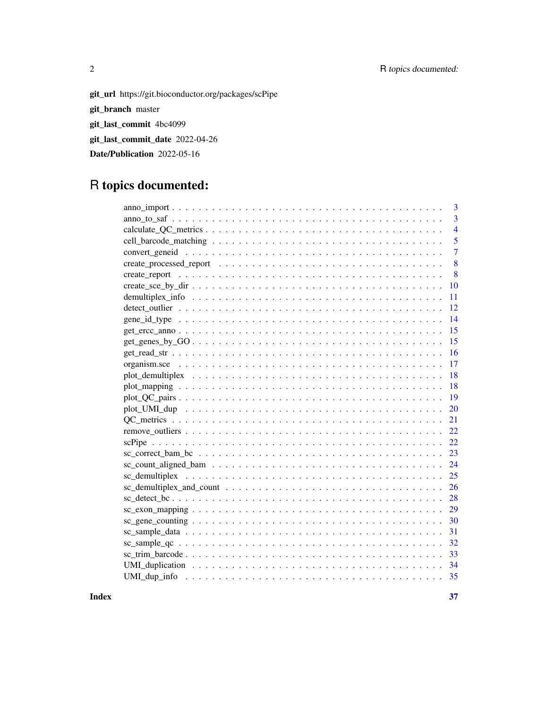## 2 R topics documented:

git\_url https://git.bioconductor.org/packages/scPipe

git\_branch master

git\_last\_commit 4bc4099

git\_last\_commit\_date 2022-04-26

Date/Publication 2022-05-16

## R topics documented:

| 3              |
|----------------|
| $\overline{3}$ |
| $\overline{4}$ |
| 5              |
| $\overline{7}$ |
| 8              |
| 8              |
| 10             |
| 11             |
| 12             |
| -14            |
| 15             |
| 15             |
|                |
|                |
|                |
|                |
|                |
| 20             |
| 21             |
| 22             |
| 22             |
| 23             |
| 24             |
| 25             |
|                |
|                |
|                |
|                |
| 31             |
| 32             |
|                |
|                |
|                |

**Index** [37](#page-36-0)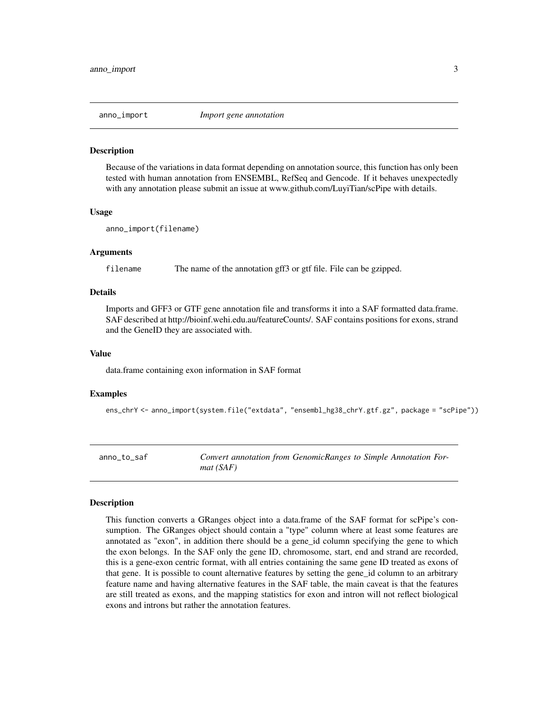<span id="page-2-0"></span>

Because of the variations in data format depending on annotation source, this function has only been tested with human annotation from ENSEMBL, RefSeq and Gencode. If it behaves unexpectedly with any annotation please submit an issue at www.github.com/LuyiTian/scPipe with details.

#### Usage

```
anno_import(filename)
```
#### Arguments

filename The name of the annotation gff3 or gtf file. File can be gzipped.

#### Details

Imports and GFF3 or GTF gene annotation file and transforms it into a SAF formatted data.frame. SAF described at http://bioinf.wehi.edu.au/featureCounts/. SAF contains positions for exons, strand and the GeneID they are associated with.

#### Value

data.frame containing exon information in SAF format

#### Examples

ens\_chrY <- anno\_import(system.file("extdata", "ensembl\_hg38\_chrY.gtf.gz", package = "scPipe"))

anno\_to\_saf *Convert annotation from GenomicRanges to Simple Annotation Format (SAF)*

#### Description

This function converts a GRanges object into a data.frame of the SAF format for scPipe's consumption. The GRanges object should contain a "type" column where at least some features are annotated as "exon", in addition there should be a gene\_id column specifying the gene to which the exon belongs. In the SAF only the gene ID, chromosome, start, end and strand are recorded, this is a gene-exon centric format, with all entries containing the same gene ID treated as exons of that gene. It is possible to count alternative features by setting the gene\_id column to an arbitrary feature name and having alternative features in the SAF table, the main caveat is that the features are still treated as exons, and the mapping statistics for exon and intron will not reflect biological exons and introns but rather the annotation features.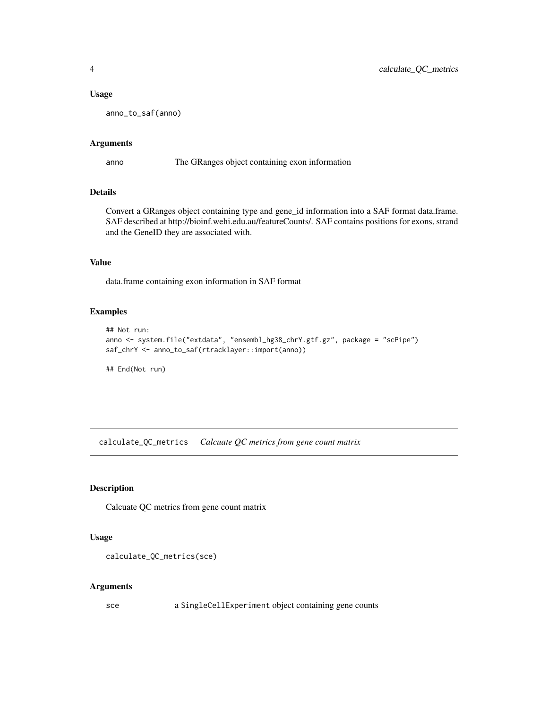#### <span id="page-3-0"></span>Usage

anno\_to\_saf(anno)

#### Arguments

anno The GRanges object containing exon information

## Details

Convert a GRanges object containing type and gene\_id information into a SAF format data.frame. SAF described at http://bioinf.wehi.edu.au/featureCounts/. SAF contains positions for exons, strand and the GeneID they are associated with.

## Value

data.frame containing exon information in SAF format

#### Examples

```
## Not run:
anno <- system.file("extdata", "ensembl_hg38_chrY.gtf.gz", package = "scPipe")
saf_chrY <- anno_to_saf(rtracklayer::import(anno))
```
## End(Not run)

calculate\_QC\_metrics *Calcuate QC metrics from gene count matrix*

## Description

Calcuate QC metrics from gene count matrix

#### Usage

```
calculate_QC_metrics(sce)
```
#### Arguments

sce a SingleCellExperiment object containing gene counts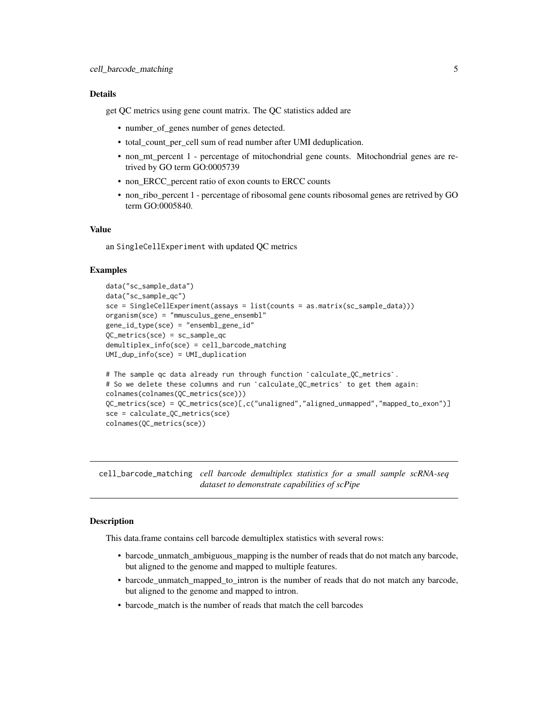## <span id="page-4-0"></span>Details

get QC metrics using gene count matrix. The QC statistics added are

- number\_of\_genes number of genes detected.
- total\_count\_per\_cell sum of read number after UMI deduplication.
- non\_mt\_percent 1 percentage of mitochondrial gene counts. Mitochondrial genes are retrived by GO term GO:0005739
- non\_ERCC\_percent ratio of exon counts to ERCC counts
- non\_ribo\_percent 1 percentage of ribosomal gene counts ribosomal genes are retrived by GO term GO:0005840.

#### Value

an SingleCellExperiment with updated QC metrics

#### Examples

```
data("sc_sample_data")
data("sc_sample_qc")
sce = SingleCellExperiment(assays = list(counts = as.matrix(sc_sample_data)))
organism(sce) = "mmusculus_gene_ensembl"
gene_id_type(sce) = "ensembl_gene_id"
QC_metrics(sce) = sc_sample_qc
demultiplex_info(sce) = cell_barcode_matching
UMI_dup_info(sce) = UMI_duplication
demultiplex_info(sce) = cell_barcode_matching<br>UMI_dup_info(sce) = UMI_duplication<br># The sample qc data already run through function `calculate_QC_metrics`.
UMI_dup_info(sce) = UMI_duplication<br># The sample qc data already run through function `calculate_QC_metrics`.<br># So we delete these columns and run `calculate_QC_metrics` to get them again:
colnames(colnames(QC_metrics(sce)))
QC_metrics(sce) = QC_metrics(sce)[,c("unaligned","aligned_unmapped","mapped_to_exon")]
sce = calculate_QC_metrics(sce)
colnames(QC_metrics(sce))
```
cell\_barcode\_matching *cell barcode demultiplex statistics for a small sample scRNA-seq dataset to demonstrate capabilities of scPipe*

## **Description**

This data.frame contains cell barcode demultiplex statistics with several rows:

- barcode\_unmatch\_ambiguous\_mapping is the number of reads that do not match any barcode, but aligned to the genome and mapped to multiple features.
- barcode\_unmatch\_mapped\_to\_intron is the number of reads that do not match any barcode, but aligned to the genome and mapped to intron.
- barcode\_match is the number of reads that match the cell barcodes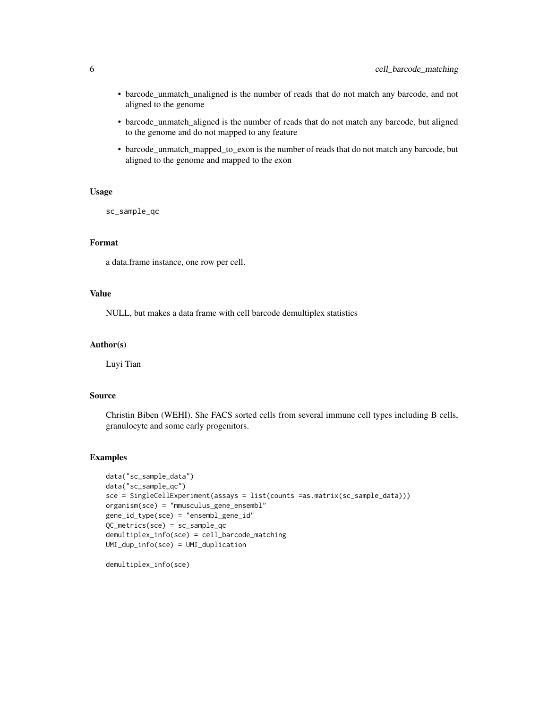- barcode\_unmatch\_unaligned is the number of reads that do not match any barcode, and not aligned to the genome
- barcode\_unmatch\_aligned is the number of reads that do not match any barcode, but aligned to the genome and do not mapped to any feature
- barcode\_unmatch\_mapped\_to\_exon is the number of reads that do not match any barcode, but aligned to the genome and mapped to the exon

## Usage

sc\_sample\_qc

## Format

a data.frame instance, one row per cell.

## Value

NULL, but makes a data frame with cell barcode demultiplex statistics

#### Author(s)

Luyi Tian

#### Source

Christin Biben (WEHI). She FACS sorted cells from several immune cell types including B cells, granulocyte and some early progenitors.

## Examples

```
data("sc_sample_data")
data("sc_sample_qc")
sce = SingleCellExperiment(assays = list(counts =as.matrix(sc_sample_data)))
organism(sce) = "mmusculus_gene_ensembl"
gene_id_type(sce) = "ensembl_gene_id"
QC_metrics(sce) = sc_sample_qc
demultiplex_info(sce) = cell_barcode_matching
UMI_dup_info(sce) = UMI_duplication
```
demultiplex\_info(sce)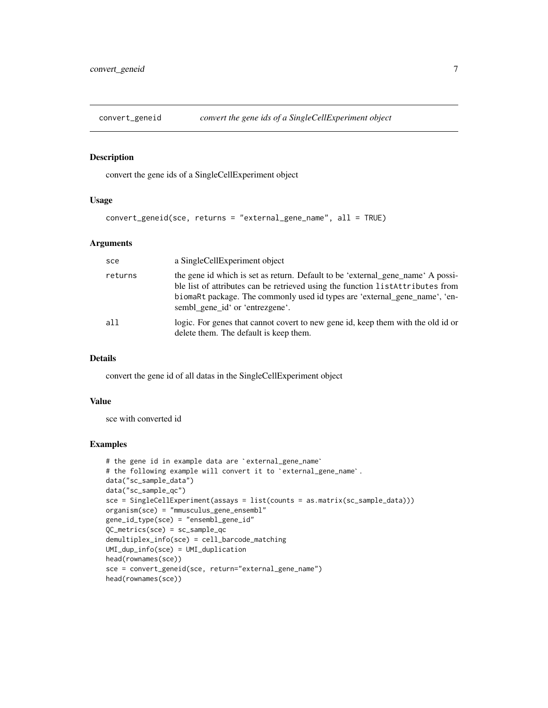<span id="page-6-0"></span>

convert the gene ids of a SingleCellExperiment object

#### Usage

```
convert_geneid(sce, returns = "external_gene_name", all = TRUE)
```
#### Arguments

| sce     | a SingleCellExperiment object                                                                                                                                                                                                                                                      |
|---------|------------------------------------------------------------------------------------------------------------------------------------------------------------------------------------------------------------------------------------------------------------------------------------|
| returns | the gene id which is set as return. Default to be 'external_gene_name' A possi-<br>ble list of attributes can be retrieved using the function listAttributes from<br>biomare package. The commonly used id types are 'external_gene_name', 'en-<br>sembl_gene_id' or 'entrezgene'. |
| all     | logic. For genes that cannot covert to new gene id, keep them with the old id or<br>delete them. The default is keep them.                                                                                                                                                         |

## Details

convert the gene id of all datas in the SingleCellExperiment object

#### Value

sce with converted id

## Examples

```
# the gene id in example data are `external_gene_name`
# the following example will convert it to `external_gene_name`.
data("sc_sample_data")
data("sc_sample_qc")
sce = SingleCellExperiment(assays = list(counts = as.matrix(sc_sample_data)))
organism(sce) = "mmusculus_gene_ensembl"
gene_id_type(sce) = "ensembl_gene_id"
QC_metrics(sce) = sc_sample_qc
demultiplex_info(sce) = cell_barcode_matching
UMI_dup_info(sce) = UMI_duplication
head(rownames(sce))
sce = convert_geneid(sce, return="external_gene_name")
head(rownames(sce))
```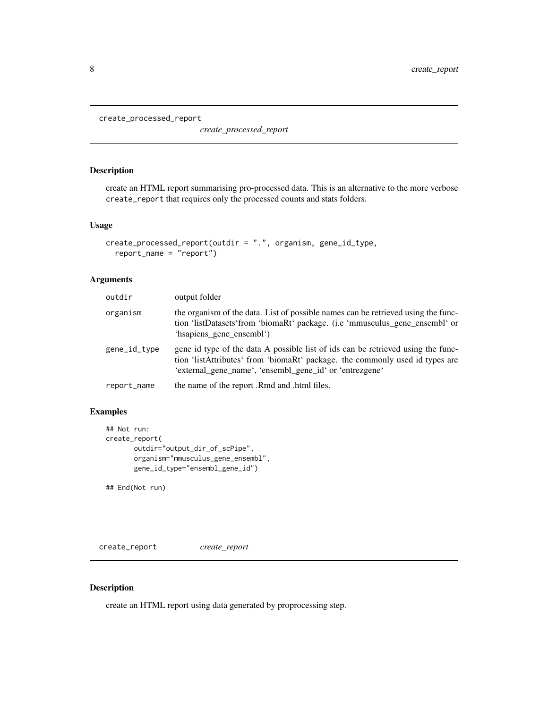```
create_processed_report
```
*create\_processed\_report*

## Description

create an HTML report summarising pro-processed data. This is an alternative to the more verbose create\_report that requires only the processed counts and stats folders.

## Usage

```
create_processed_report(outdir = ".", organism, gene_id_type,
  report_name = "report")
```
## Arguments

| outdir       | output folder                                                                                                                                                                                                               |
|--------------|-----------------------------------------------------------------------------------------------------------------------------------------------------------------------------------------------------------------------------|
| organism     | the organism of the data. List of possible names can be retrieved using the func-<br>tion 'listDatasets' from 'biomaRt' package. (i.e 'mmusculus_gene_ensembl' or<br>'hsapiens gene ensembl')                               |
| gene_id_type | gene id type of the data A possible list of ids can be retrieved using the func-<br>tion 'listAttributes' from 'biomaRt' package. the commonly used id types are<br>'external_gene_name', 'ensembl_gene_id' or 'entrezgene' |
| report_name  | the name of the report .Rmd and .html files.                                                                                                                                                                                |

## Examples

```
## Not run:
create_report(
       outdir="output_dir_of_scPipe",
       organism="mmusculus_gene_ensembl",
       gene_id_type="ensembl_gene_id")
```
## End(Not run)

create\_report *create\_report*

## Description

create an HTML report using data generated by proprocessing step.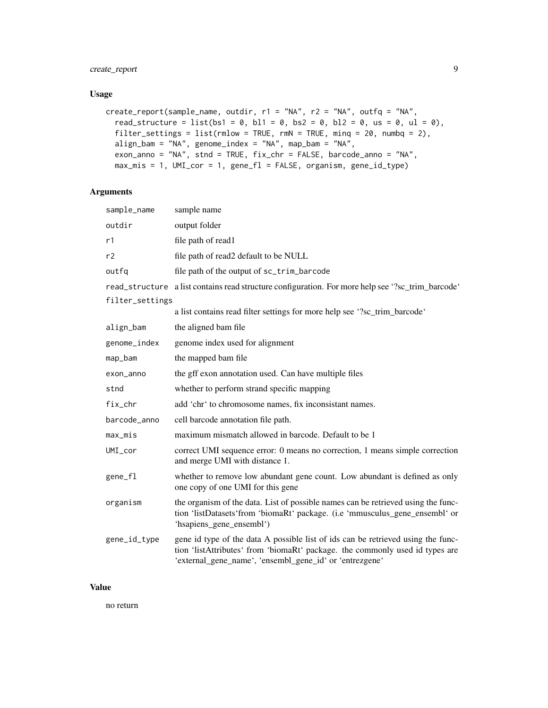## create\_report 9

#### Usage

```
create_report(sample_name, outdir, r1 = "NA", r2 = "NA", outfq = "NA",
  read_structure = list(bs1 = 0, bl1 = 0, bs2 = 0, bl2 = 0, us = 0, ul = 0),
  filter_settings = list(rmlow = TRUE, rmN = TRUE, minq = 20, numbq = 2),align_bam = "NA", genome_index = "NA", map_bam = "NA",
 exon_anno = "NA", stnd = TRUE, fix_chr = FALSE, barcode_anno = "NA",
  max_mis = 1, UMI_cor = 1, gene_fl = FALSE, organism, gene_id_type)
```
## Arguments

| sample_name     | sample name                                                                                                                                                                                                                 |  |
|-----------------|-----------------------------------------------------------------------------------------------------------------------------------------------------------------------------------------------------------------------------|--|
| outdir          | output folder                                                                                                                                                                                                               |  |
| r1              | file path of read1                                                                                                                                                                                                          |  |
| r2              | file path of read2 default to be NULL                                                                                                                                                                                       |  |
| outfg           | file path of the output of sc_trim_barcode                                                                                                                                                                                  |  |
|                 | read_structure a list contains read structure configuration. For more help see '?sc_trim_barcode'                                                                                                                           |  |
| filter_settings |                                                                                                                                                                                                                             |  |
|                 | a list contains read filter settings for more help see '?sc_trim_barcode'                                                                                                                                                   |  |
| align_bam       | the aligned bam file                                                                                                                                                                                                        |  |
| genome_index    | genome index used for alignment                                                                                                                                                                                             |  |
| map_bam         | the mapped bam file                                                                                                                                                                                                         |  |
| exon_anno       | the gff exon annotation used. Can have multiple files                                                                                                                                                                       |  |
| stnd            | whether to perform strand specific mapping                                                                                                                                                                                  |  |
| fix_chr         | add 'chr' to chromosome names, fix inconsistant names.                                                                                                                                                                      |  |
| barcode_anno    | cell barcode annotation file path.                                                                                                                                                                                          |  |
| max_mis         | maximum mismatch allowed in barcode. Default to be 1                                                                                                                                                                        |  |
| $UMI_{cor}$     | correct UMI sequence error: 0 means no correction, 1 means simple correction<br>and merge UMI with distance 1.                                                                                                              |  |
| gene_fl         | whether to remove low abundant gene count. Low abundant is defined as only<br>one copy of one UMI for this gene                                                                                                             |  |
| organism        | the organism of the data. List of possible names can be retrieved using the func-<br>tion 'listDatasets' from 'biomaRt' package. (i.e 'mmusculus_gene_ensembl' or<br>'hsapiens_gene_ensembl')                               |  |
| gene_id_type    | gene id type of the data A possible list of ids can be retrieved using the func-<br>tion 'listAttributes' from 'biomaRt' package. the commonly used id types are<br>'external_gene_name', 'ensembl_gene_id' or 'entrezgene' |  |

## Value

no return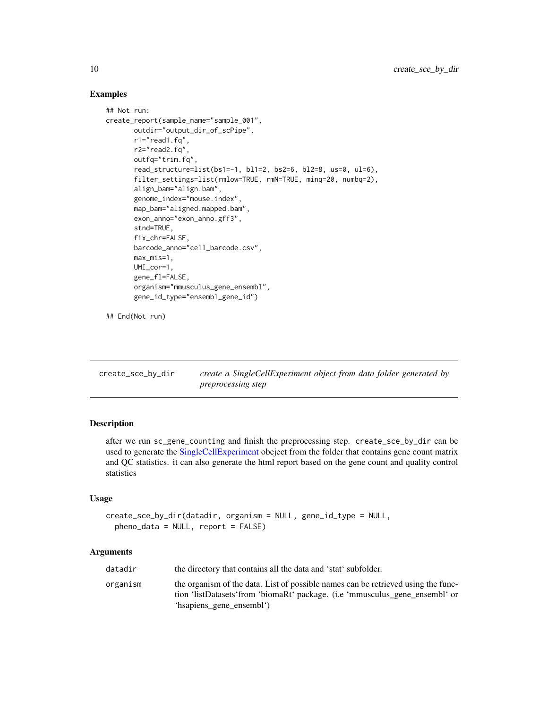## Examples

```
## Not run:
create_report(sample_name="sample_001",
       outdir="output_dir_of_scPipe",
       r1="read1.fq",
       r2="read2.fq",
       outfq="trim.fq",
       read_structure=list(bs1=-1, bl1=2, bs2=6, bl2=8, us=0, ul=6),
       filter_settings=list(rmlow=TRUE, rmN=TRUE, minq=20, numbq=2),
       align_bam="align.bam",
       genome_index="mouse.index",
       map_bam="aligned.mapped.bam",
       exon_anno="exon_anno.gff3",
       stnd=TRUE,
       fix_chr=FALSE,
       barcode_anno="cell_barcode.csv",
       max_mis=1,
       UMI_cor=1,
       gene_fl=FALSE,
       organism="mmusculus_gene_ensembl",
       gene_id_type="ensembl_gene_id")
```

```
## End(Not run)
```

| create_sce_by_dir | create a SingleCellExperiment object from data folder generated by |
|-------------------|--------------------------------------------------------------------|
|                   | <i>preprocessing step</i>                                          |

## Description

after we run sc\_gene\_counting and finish the preprocessing step. create\_sce\_by\_dir can be used to generate the [SingleCellExperiment](#page-0-0) obeject from the folder that contains gene count matrix and QC statistics. it can also generate the html report based on the gene count and quality control statistics

## Usage

```
create_sce_by_dir(datadir, organism = NULL, gene_id_type = NULL,
  pheno_data = NULL, report = FALSE)
```
## **Arguments**

| datadir  | the directory that contains all the data and 'stat' subfolder.                                                                                                                                |
|----------|-----------------------------------------------------------------------------------------------------------------------------------------------------------------------------------------------|
| organism | the organism of the data. List of possible names can be retrieved using the func-<br>tion 'listDatasets' from 'biomaRt' package. (i.e 'mmusculus_gene_ensembl' or<br>'hsapiens_gene_ensembl') |

<span id="page-9-0"></span>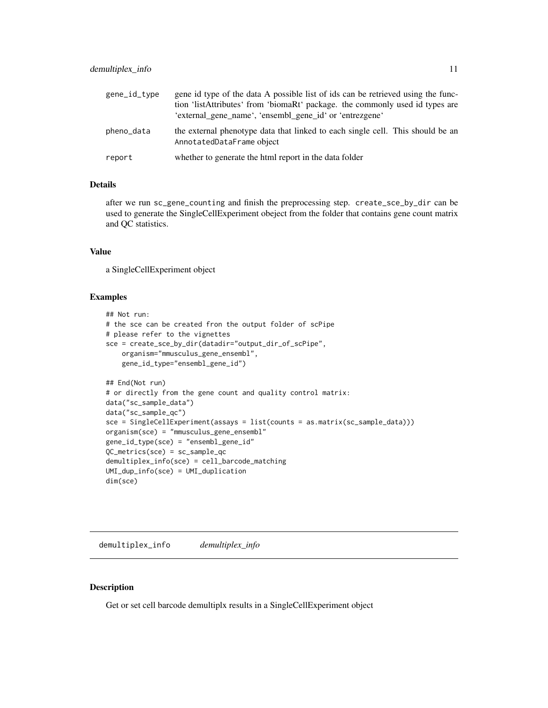<span id="page-10-0"></span>

| gene_id_type | gene id type of the data A possible list of ids can be retrieved using the func-<br>tion 'listAttributes' from 'biomaRt' package. the commonly used id types are<br>'external_gene_name', 'ensembl_gene_id' or 'entrezgene' |  |
|--------------|-----------------------------------------------------------------------------------------------------------------------------------------------------------------------------------------------------------------------------|--|
| pheno_data   | the external phenotype data that linked to each single cell. This should be an<br>AnnotatedDataFrame object                                                                                                                 |  |
| report       | whether to generate the html report in the data folder                                                                                                                                                                      |  |

## Details

after we run sc\_gene\_counting and finish the preprocessing step. create\_sce\_by\_dir can be used to generate the SingleCellExperiment obeject from the folder that contains gene count matrix and QC statistics.

## Value

a SingleCellExperiment object

#### Examples

```
## Not run:
# the sce can be created fron the output folder of scPipe
# please refer to the vignettes
sce = create_sce_by_dir(datadir="output_dir_of_scPipe",
    organism="mmusculus_gene_ensembl",
   gene_id_type="ensembl_gene_id")
## End(Not run)
# or directly from the gene count and quality control matrix:
data("sc_sample_data")
data("sc_sample_qc")
sce = SingleCellExperiment(assays = list(counts = as.matrix(sc_sample_data)))
organism(sce) = "mmusculus_gene_ensembl"
gene_id_type(sce) = "ensembl_gene_id"
QC_metrics(sce) = sc_sample_qc
demultiplex_info(sce) = cell_barcode_matching
UMI_dup_info(sce) = UMI_duplication
dim(sce)
```
demultiplex\_info *demultiplex\_info*

#### Description

Get or set cell barcode demultiplx results in a SingleCellExperiment object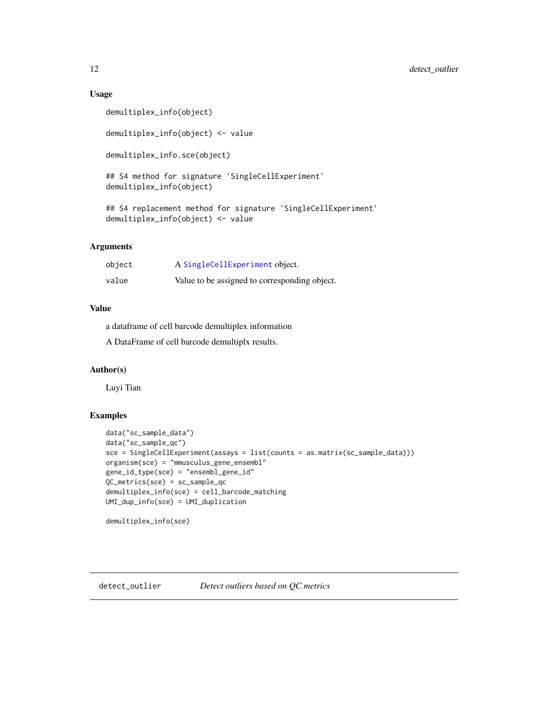#### Usage

```
demultiplex_info(object)
demultiplex_info(object) <- value
demultiplex_info.sce(object)
## S4 method for signature 'SingleCellExperiment'
demultiplex_info(object)
## S4 replacement method for signature 'SingleCellExperiment'
demultiplex_info(object) <- value
```
## Arguments

| object | A SingleCellExperiment object.                |
|--------|-----------------------------------------------|
| value  | Value to be assigned to corresponding object. |

## Value

a dataframe of cell barcode demultiplex information

A DataFrame of cell barcode demultiplx results.

#### Author(s)

Luyi Tian

#### Examples

```
data("sc_sample_data")
data("sc_sample_qc")
sce = SingleCellExperiment(assays = list(counts = as.matrix(sc_sample_data)))
organism(sce) = "mmusculus_gene_ensembl"
gene_id_type(sce) = "ensembl_gene_id"
QC_metrics(sce) = sc_sample_qc
demultiplex_info(sce) = cell_barcode_matching
UMI_dup_info(sce) = UMI_duplication
```
demultiplex\_info(sce)

<span id="page-11-0"></span>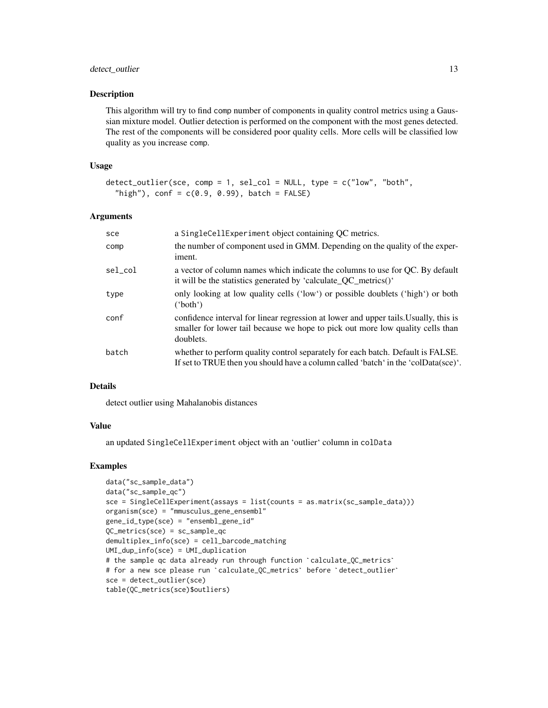## detect\_outlier 13

#### **Description**

This algorithm will try to find comp number of components in quality control metrics using a Gaussian mixture model. Outlier detection is performed on the component with the most genes detected. The rest of the components will be considered poor quality cells. More cells will be classified low quality as you increase comp.

#### Usage

```
detect_outlier(sce, comp = 1, sel_col = NULL, type = c("low", "both",
  "high"), conf = c(0.9, 0.99), batch = FALSE)
```
#### Arguments

| sce     | a SingleCellExperiment object containing QC metrics.                                                                                                                                |
|---------|-------------------------------------------------------------------------------------------------------------------------------------------------------------------------------------|
| comp    | the number of component used in GMM. Depending on the quality of the exper-<br>iment.                                                                                               |
| sel col | a vector of column names which indicate the columns to use for QC. By default<br>it will be the statistics generated by 'calculate_QC_metrics()'                                    |
| type    | only looking at low quality cells ('low') or possible doublets ('high') or both<br>'both')                                                                                          |
| conf    | confidence interval for linear regression at lower and upper tails. Usually, this is<br>smaller for lower tail because we hope to pick out more low quality cells than<br>doublets. |
| batch   | whether to perform quality control separately for each batch. Default is FALSE.<br>If set to TRUE then you should have a column called 'batch' in the 'colData(sce)'.               |

#### Details

detect outlier using Mahalanobis distances

#### Value

an updated SingleCellExperiment object with an 'outlier' column in colData

#### Examples

```
data("sc_sample_data")
data("sc_sample_qc")
sce = SingleCellExperiment(assays = list(counts = as.matrix(sc_sample_data)))
organism(sce) = "mmusculus_gene_ensembl"
gene_id_type(sce) = "ensembl_gene_id"
QC_metrics(sce) = sc_sample_qc
demultiplex_info(sce) = cell_barcode_matching
UMI_dup_info(sce) = UMI_duplication
QC_metrics(sce) = sc_sample_qc<br>demultiplex_info(sce) = cell_barcode_matching<br>UMI_dup_info(sce) = UMI_duplication<br># the sample qc data already run through function `calculate_QC_metrics`
demultiplex_info(sce) = cell_barcode_matching<br>UMI_dup_info(sce) = UMI_duplication<br># the sample qc data already run through function `calculate_QC_metrics`<br># for a new sce please run `calculate_QC_metrics` before `detect_ou
sce = detect_outlier(sce)
table(QC_metrics(sce)$outliers)
```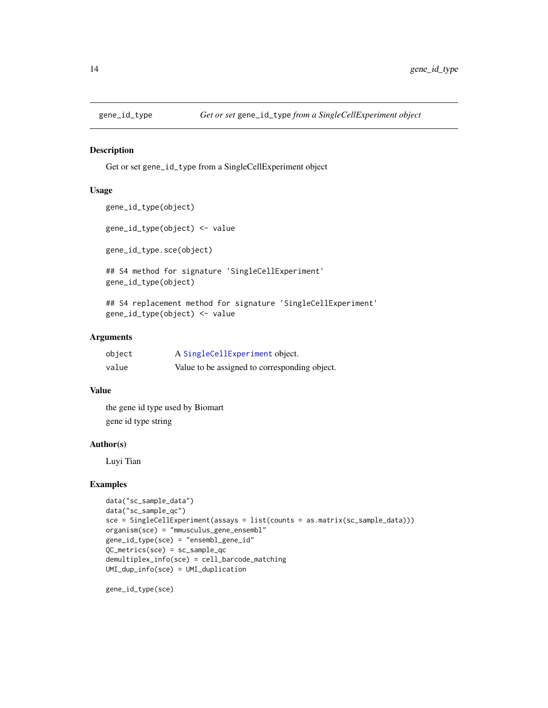<span id="page-13-0"></span>

Get or set gene\_id\_type from a SingleCellExperiment object

#### Usage

```
gene_id_type(object)
```
gene\_id\_type(object) <- value

gene\_id\_type.sce(object)

## S4 method for signature 'SingleCellExperiment' gene\_id\_type(object)

## S4 replacement method for signature 'SingleCellExperiment' gene\_id\_type(object) <- value

#### Arguments

| object | A SingleCellExperiment object.                |
|--------|-----------------------------------------------|
| value  | Value to be assigned to corresponding object. |

## Value

the gene id type used by Biomart gene id type string

## Author(s)

Luyi Tian

#### Examples

```
data("sc_sample_data")
data("sc_sample_qc")
sce = SingleCellExperiment(assays = list(counts = as.matrix(sc_sample_data)))
organism(sce) = "mmusculus_gene_ensembl"
gene_id_type(sce) = "ensembl_gene_id"
QC_metrics(sce) = sc_sample_qc
demultiplex_info(sce) = cell_barcode_matching
UMI_dup_info(sce) = UMI_duplication
```
gene\_id\_type(sce)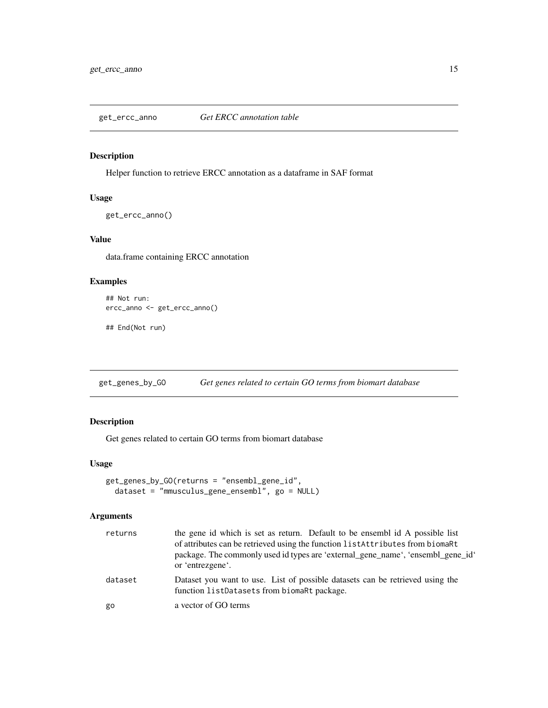<span id="page-14-0"></span>

Helper function to retrieve ERCC annotation as a dataframe in SAF format

## Usage

get\_ercc\_anno()

## Value

data.frame containing ERCC annotation

## Examples

```
## Not run:
ercc_anno <- get_ercc_anno()
```
## End(Not run)

get\_genes\_by\_GO *Get genes related to certain GO terms from biomart database*

## Description

Get genes related to certain GO terms from biomart database

## Usage

```
get_genes_by_GO(returns = "ensembl_gene_id",
 dataset = "mmusculus_gene_ensembl", go = NULL)
```
## Arguments

| returns | the gene id which is set as return. Default to be ensembled A possible list<br>of attributes can be retrieved using the function listAttributes from biomaRt<br>package. The commonly used id types are 'external_gene_name', 'ensembl_gene_id'<br>or 'entrezgene'. |
|---------|---------------------------------------------------------------------------------------------------------------------------------------------------------------------------------------------------------------------------------------------------------------------|
| dataset | Dataset you want to use. List of possible datasets can be retrieved using the<br>function listDatasets from biomaRt package.                                                                                                                                        |
| go      | a vector of GO terms                                                                                                                                                                                                                                                |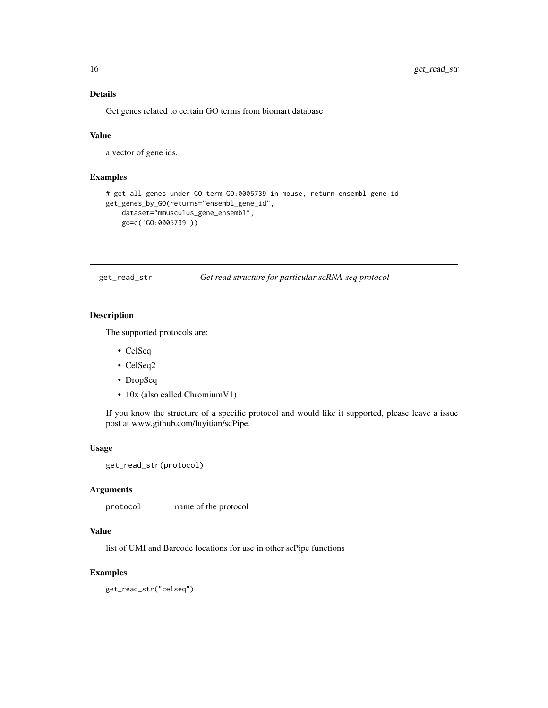## Details

Get genes related to certain GO terms from biomart database

## Value

a vector of gene ids.

## Examples

```
# get all genes under GO term GO:0005739 in mouse, return ensembl gene id
get_genes_by_GO(returns="ensembl_gene_id",
   dataset="mmusculus_gene_ensembl",
   go=c('GO:0005739'))
```
get\_read\_str *Get read structure for particular scRNA-seq protocol*

## Description

The supported protocols are:

- CelSeq
- CelSeq2
- DropSeq
- 10x (also called ChromiumV1)

If you know the structure of a specific protocol and would like it supported, please leave a issue post at www.github.com/luyitian/scPipe.

#### Usage

```
get_read_str(protocol)
```
#### Arguments

protocol name of the protocol

## Value

list of UMI and Barcode locations for use in other scPipe functions

#### Examples

get\_read\_str("celseq")

<span id="page-15-0"></span>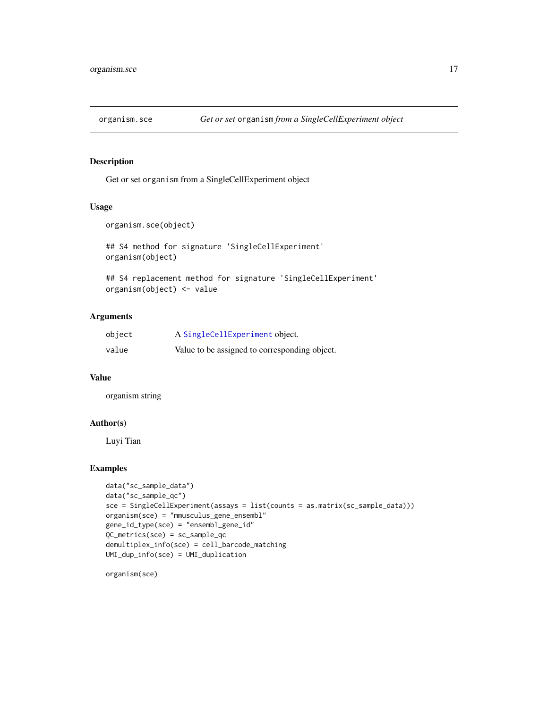<span id="page-16-0"></span>

Get or set organism from a SingleCellExperiment object

## Usage

```
organism.sce(object)
```
## S4 method for signature 'SingleCellExperiment' organism(object)

## S4 replacement method for signature 'SingleCellExperiment' organism(object) <- value

## Arguments

| object | A SingleCellExperiment object.                |
|--------|-----------------------------------------------|
| value  | Value to be assigned to corresponding object. |

## Value

organism string

## Author(s)

Luyi Tian

## Examples

```
data("sc_sample_data")
data("sc_sample_qc")
sce = SingleCellExperiment(assays = list(counts = as.matrix(sc_sample_data)))
organism(sce) = "mmusculus_gene_ensembl"
gene_id_type(sce) = "ensembl_gene_id"
QC_metrics(sce) = sc_sample_qc
demultiplex_info(sce) = cell_barcode_matching
UMI_dup_info(sce) = UMI_duplication
```
organism(sce)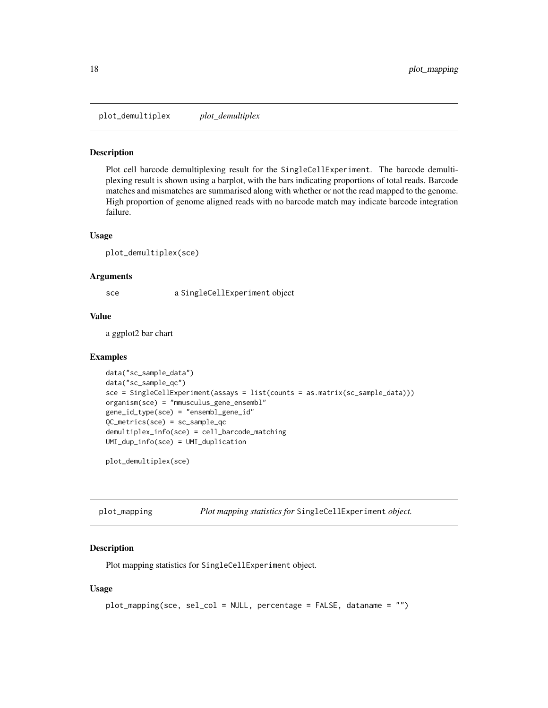<span id="page-17-0"></span>plot\_demultiplex *plot\_demultiplex*

#### Description

Plot cell barcode demultiplexing result for the SingleCellExperiment. The barcode demultiplexing result is shown using a barplot, with the bars indicating proportions of total reads. Barcode matches and mismatches are summarised along with whether or not the read mapped to the genome. High proportion of genome aligned reads with no barcode match may indicate barcode integration failure.

#### Usage

```
plot_demultiplex(sce)
```
#### Arguments

sce a SingleCellExperiment object

#### Value

a ggplot2 bar chart

#### Examples

```
data("sc_sample_data")
data("sc_sample_qc")
sce = SingleCellExperiment(assays = list(counts = as.matrix(sc_sample_data)))
organism(sce) = "mmusculus_gene_ensembl"
gene_id_type(sce) = "ensembl_gene_id"
QC_metrics(sce) = sc_sample_qc
demultiplex_info(sce) = cell_barcode_matching
UMI_dup_info(sce) = UMI_duplication
```
plot\_demultiplex(sce)

| plot_mapping |  |  |  | Plot mapping statistics for SingleCellExperiment object. |  |
|--------------|--|--|--|----------------------------------------------------------|--|
|--------------|--|--|--|----------------------------------------------------------|--|

## Description

Plot mapping statistics for SingleCellExperiment object.

#### Usage

```
plot_mapping(sce, sel_col = NULL, percentage = FALSE, dataname = "")
```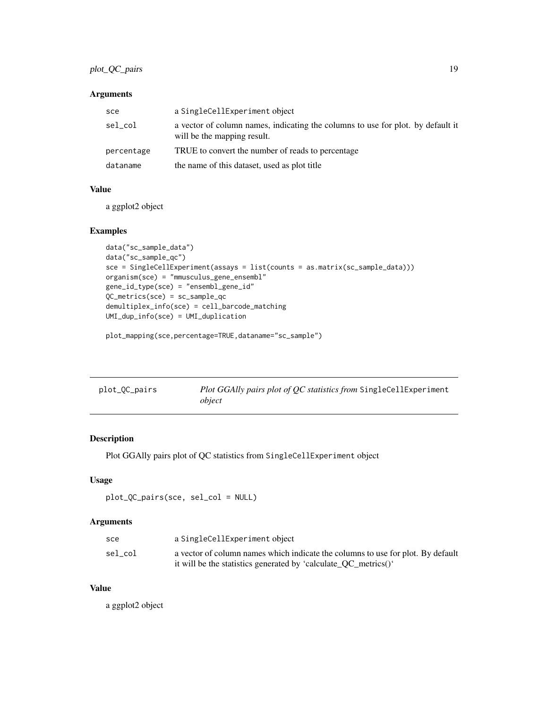## <span id="page-18-0"></span>plot\_QC\_pairs 19

## Arguments

| sce        | a SingleCellExperiment object                                                                                  |
|------------|----------------------------------------------------------------------------------------------------------------|
| sel_col    | a vector of column names, indicating the columns to use for plot. by default it<br>will be the mapping result. |
| percentage | TRUE to convert the number of reads to percentage                                                              |
| dataname   | the name of this dataset, used as plot title                                                                   |

## Value

a ggplot2 object

## Examples

```
data("sc_sample_data")
data("sc_sample_qc")
sce = SingleCellExperiment(assays = list(counts = as.matrix(sc_sample_data)))
organism(sce) = "mmusculus_gene_ensembl"
gene_id_type(sce) = "ensembl_gene_id"
QC_metrics(sce) = sc_sample_qc
demultiplex_info(sce) = cell_barcode_matching
UMI_dup_info(sce) = UMI_duplication
```
plot\_mapping(sce,percentage=TRUE,dataname="sc\_sample")

| plot_QC_pairs | Plot GGAlly pairs plot of QC statistics from SingleCellExperiment |
|---------------|-------------------------------------------------------------------|
|               | object                                                            |

## Description

Plot GGAlly pairs plot of QC statistics from SingleCellExperiment object

## Usage

```
plot_QC_pairs(sce, sel_col = NULL)
```
## Arguments

| sce     | a SingleCellExperiment object                                                   |
|---------|---------------------------------------------------------------------------------|
| sel col | a vector of column names which indicate the columns to use for plot. By default |
|         | it will be the statistics generated by 'calculate_QC_metrics()'                 |

## Value

a ggplot2 object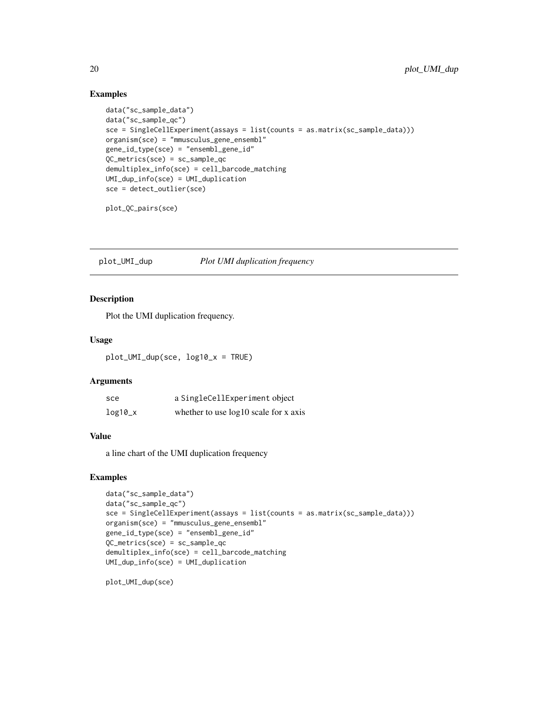## Examples

```
data("sc_sample_data")
data("sc_sample_qc")
sce = SingleCellExperiment(assays = list(counts = as.matrix(sc_sample_data)))
organism(sce) = "mmusculus_gene_ensembl"
gene_id_type(sce) = "ensembl_gene_id"
QC_metrics(sce) = sc_sample_qc
demultiplex_info(sce) = cell_barcode_matching
UMI_dup_info(sce) = UMI_duplication
sce = detect_outlier(sce)
```
plot\_QC\_pairs(sce)

plot\_UMI\_dup *Plot UMI duplication frequency*

#### Description

Plot the UMI duplication frequency.

#### Usage

plot\_UMI\_dup(sce, log10\_x = TRUE)

## Arguments

| sce       | a SingleCellExperiment object           |
|-----------|-----------------------------------------|
| $log10_x$ | whether to use $log10$ scale for x axis |

#### Value

a line chart of the UMI duplication frequency

## Examples

```
data("sc_sample_data")
data("sc_sample_qc")
sce = SingleCellExperiment(assays = list(counts = as.matrix(sc_sample_data)))
organism(sce) = "mmusculus_gene_ensembl"
gene_id_type(sce) = "ensembl_gene_id"
OC_metrics(sce) = sc_sample_qc
demultiplex_info(sce) = cell_barcode_matching
UMI_dup_info(sce) = UMI_duplication
```
plot\_UMI\_dup(sce)

<span id="page-19-0"></span>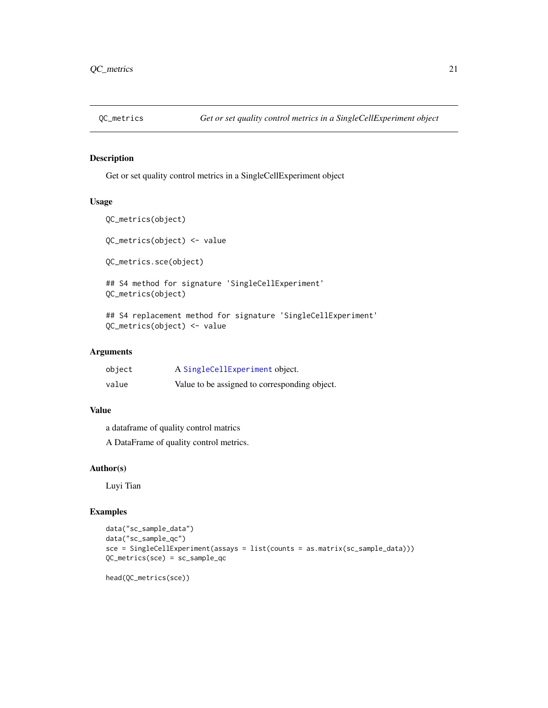<span id="page-20-0"></span>

Get or set quality control metrics in a SingleCellExperiment object

## Usage

```
QC_metrics(object)
QC_metrics(object) <- value
QC_metrics.sce(object)
## S4 method for signature 'SingleCellExperiment'
QC_metrics(object)
## S4 replacement method for signature 'SingleCellExperiment'
```

```
QC_metrics(object) <- value
```
## Arguments

| object | A SingleCellExperiment object.                |
|--------|-----------------------------------------------|
| value  | Value to be assigned to corresponding object. |

## Value

a dataframe of quality control matrics

A DataFrame of quality control metrics.

## Author(s)

Luyi Tian

## Examples

```
data("sc_sample_data")
data("sc_sample_qc")
sce = SingleCellExperiment(assays = list(counts = as.matrix(sc_sample_data)))
QC_metrics(sce) = sc_sample_qc
```
head(QC\_metrics(sce))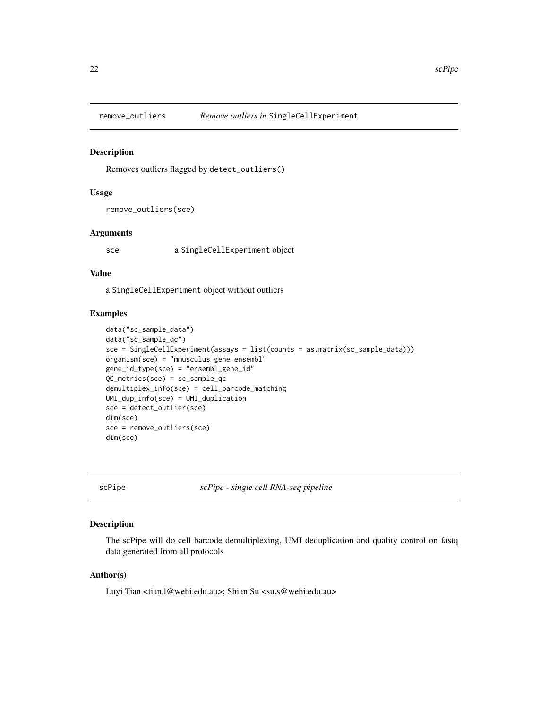<span id="page-21-0"></span>

Removes outliers flagged by detect\_outliers()

#### Usage

```
remove_outliers(sce)
```
#### Arguments

sce a SingleCellExperiment object

#### Value

a SingleCellExperiment object without outliers

#### Examples

```
data("sc_sample_data")
data("sc_sample_qc")
sce = SingleCellExperiment(assays = list(counts = as.matrix(sc_sample_data)))
organism(sce) = "mmusculus_gene_ensembl"
gene_id_type(sce) = "ensembl_gene_id"
QC_metrics(sce) = sc_sample_qc
demultiplex_info(sce) = cell_barcode_matching
UMI_dup_info(sce) = UMI_duplication
sce = detect_outlier(sce)
dim(sce)
sce = remove_outliers(sce)
dim(sce)
```
scPipe *scPipe - single cell RNA-seq pipeline*

## Description

The scPipe will do cell barcode demultiplexing, UMI deduplication and quality control on fastq data generated from all protocols

#### Author(s)

Luyi Tian <tian.1@wehi.edu.au>; Shian Su <su.s@wehi.edu.au>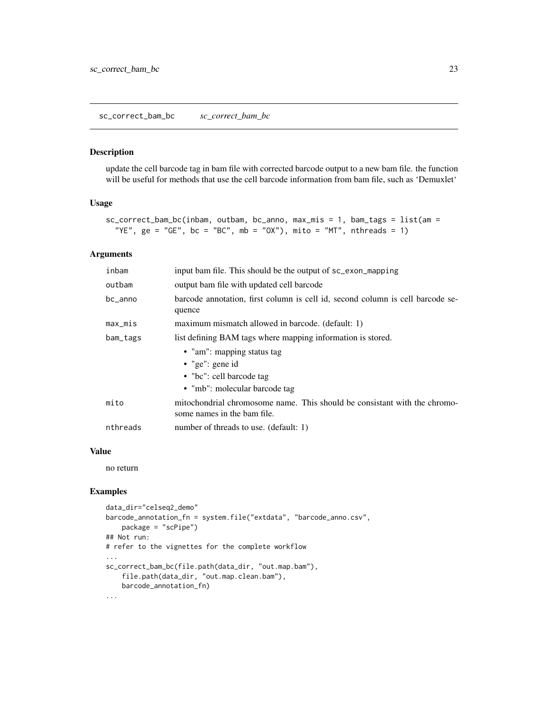<span id="page-22-0"></span>update the cell barcode tag in bam file with corrected barcode output to a new bam file. the function will be useful for methods that use the cell barcode information from bam file, such as 'Demuxlet'

#### Usage

```
sc_correct_bam_bc(inbam, outbam, bc_anno, max_mis = 1, bam_tags = list(am =
  "YE", ge = "GE", bc = "BC", mb = "OX"), mito = "MT", nthreads = 1)
```
#### Arguments

| inbam      | input bam file. This should be the output of sc_exon_mapping                                               |
|------------|------------------------------------------------------------------------------------------------------------|
| outbam     | output bam file with updated cell barcode                                                                  |
| bc_anno    | barcode annotation, first column is cell id, second column is cell barcode se-<br>quence                   |
| $max\_mis$ | maximum mismatch allowed in barcode. (default: 1)                                                          |
| bam_tags   | list defining BAM tags where mapping information is stored.                                                |
|            | • "am": mapping status tag<br>• "ge": gene id<br>• "bc": cell barcode tag<br>• "mb": molecular barcode tag |
| mito       | mitochondrial chromosome name. This should be consistant with the chromo-<br>some names in the bam file.   |
| nthreads   | number of threads to use. (default: 1)                                                                     |

#### Value

no return

## Examples

```
data_dir="celseq2_demo"
barcode_annotation_fn = system.file("extdata", "barcode_anno.csv",
   package = "scPipe")
## Not run:
# refer to the vignettes for the complete workflow
...
sc_correct_bam_bc(file.path(data_dir, "out.map.bam"),
    file.path(data_dir, "out.map.clean.bam"),
   barcode_annotation_fn)
...
```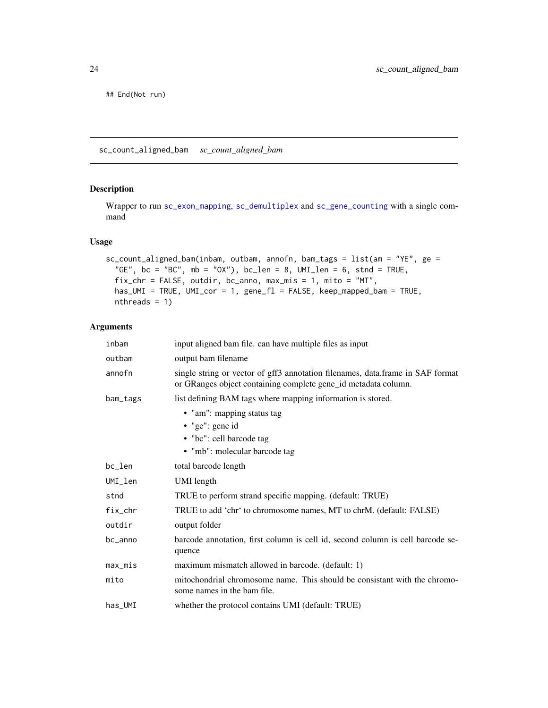<span id="page-23-0"></span>## End(Not run)

sc\_count\_aligned\_bam *sc\_count\_aligned\_bam*

### Description

Wrapper to run [sc\\_exon\\_mapping](#page-28-1), [sc\\_demultiplex](#page-24-1) and [sc\\_gene\\_counting](#page-29-1) with a single command

## Usage

```
sc_count_aligned_bam(inbam, outbam, annofn, bam_tags = list(am = "YE", ge =
  "GE", bc = "BC", mb = "OX"), bc \_\_\_\_\_\ = 8, UML \_\_\_\_\_\_\_5, stnd = TRUE,
  fix\_chr = FALSE, outdir, bc\_anno, max\_mis = 1, mito = "MT",has_UMI = TRUE, UMI_cor = 1, gene_fl = FALSE, keep_mapped_bam = TRUE,
 nthreads = 1)
```
## Arguments

| inbam      | input aligned bam file. can have multiple files as input                                                                                         |
|------------|--------------------------------------------------------------------------------------------------------------------------------------------------|
| outbam     | output bam filename                                                                                                                              |
| annofn     | single string or vector of gff3 annotation filenames, data.frame in SAF format<br>or GRanges object containing complete gene_id metadata column. |
| bam_tags   | list defining BAM tags where mapping information is stored.                                                                                      |
|            | • "am": mapping status tag                                                                                                                       |
|            | $\bullet$ "ge": gene id                                                                                                                          |
|            | • "bc": cell barcode tag                                                                                                                         |
|            | • "mb": molecular barcode tag                                                                                                                    |
| bc_len     | total barcode length                                                                                                                             |
| UMI_len    | UMI length                                                                                                                                       |
| stnd       | TRUE to perform strand specific mapping. (default: TRUE)                                                                                         |
| fix_chr    | TRUE to add 'chr' to chromosome names, MT to chrM. (default: FALSE)                                                                              |
| outdir     | output folder                                                                                                                                    |
| bc_anno    | barcode annotation, first column is cell id, second column is cell barcode se-<br>quence                                                         |
| $max\_mis$ | maximum mismatch allowed in barcode. (default: 1)                                                                                                |
| mito       | mitochondrial chromosome name. This should be consistant with the chromo-<br>some names in the bam file.                                         |
| $has\_UMI$ | whether the protocol contains UMI (default: TRUE)                                                                                                |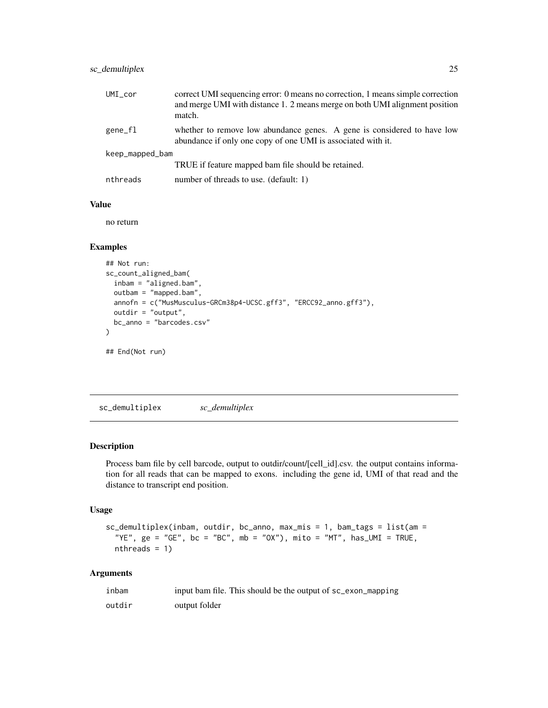## <span id="page-24-0"></span>sc\_demultiplex 25

| $UMI_{cor}$     | correct UMI sequencing error: 0 means no correction, 1 means simple correction<br>and merge UMI with distance 1. 2 means merge on both UMI alignment position<br>match. |
|-----------------|-------------------------------------------------------------------------------------------------------------------------------------------------------------------------|
| gene_fl         | whether to remove low abundance genes. A gene is considered to have low<br>abundance if only one copy of one UMI is associated with it.                                 |
| keep_mapped_bam |                                                                                                                                                                         |
|                 | TRUE if feature mapped bam file should be retained.                                                                                                                     |
| nthreads        | number of threads to use. (default: 1)                                                                                                                                  |

#### Value

no return

## Examples

```
## Not run:
sc_count_aligned_bam(
  inbam = "aligned.bam",
 outbam = "mapped.bam",
  annofn = c("MusMusculus-GRCm38p4-UCSC.gff3", "ERCC92_anno.gff3"),
  outdir = "output",
  bc_anno = "barcodes.csv"
)
## End(Not run)
```
<span id="page-24-1"></span>sc\_demultiplex *sc\_demultiplex*

#### Description

Process bam file by cell barcode, output to outdir/count/[cell\_id].csv. the output contains information for all reads that can be mapped to exons. including the gene id, UMI of that read and the distance to transcript end position.

#### Usage

```
sc_demultiplex(inbam, outdir, bc_anno, max_mis = 1, bam_tags = list(am =
  "YE", ge = "GE", bc = "BC", mb = "OX"), mito = "MT", has\_UMI = TRUE,nthreads = 1)
```
#### Arguments

| inbam  | input bam file. This should be the output of sc_exon_mapping |
|--------|--------------------------------------------------------------|
| outdir | output folder                                                |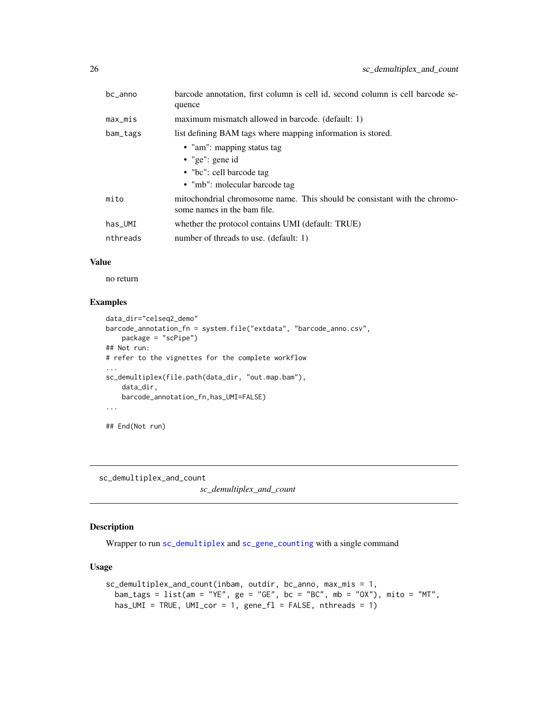<span id="page-25-0"></span>

| bc_anno    | barcode annotation, first column is cell id, second column is cell barcode se-<br>quence                 |
|------------|----------------------------------------------------------------------------------------------------------|
| $max\_mis$ | maximum mismatch allowed in barcode. (default: 1)                                                        |
| bam_tags   | list defining BAM tags where mapping information is stored.                                              |
|            | • "am": mapping status tag                                                                               |
|            | • "ge": gene id                                                                                          |
|            | • "bc": cell barcode tag                                                                                 |
|            | • "mb": molecular barcode tag                                                                            |
| mito       | mitochondrial chromosome name. This should be consistant with the chromo-<br>some names in the bam file. |
| $has\_UMI$ | whether the protocol contains UMI (default: TRUE)                                                        |
| nthreads   | number of threads to use. (default: 1)                                                                   |

## Value

no return

#### Examples

```
data_dir="celseq2_demo"
barcode_annotation_fn = system.file("extdata", "barcode_anno.csv",
   package = "scPipe")
## Not run:
# refer to the vignettes for the complete workflow
...
sc_demultiplex(file.path(data_dir, "out.map.bam"),
   data_dir,
   barcode_annotation_fn,has_UMI=FALSE)
...
```
## End(Not run)

sc\_demultiplex\_and\_count

*sc\_demultiplex\_and\_count*

## Description

Wrapper to run [sc\\_demultiplex](#page-24-1) and [sc\\_gene\\_counting](#page-29-1) with a single command

## Usage

```
sc_demultiplex_and_count(inbam, outdir, bc_anno, max_mis = 1,
  \text{bam\_tags} = \text{list}(\text{am} = \text{"YE"}\text{, ge} = \text{"GE"}\text{, bc} = \text{"BC"}\text{, mb} = \text{"OX"}\text{), mito} = \text{"MT"}\text{,}has_UMI = TRUE, UMI_cor = 1, gene_fl = FALSE, nthreads = 1)
```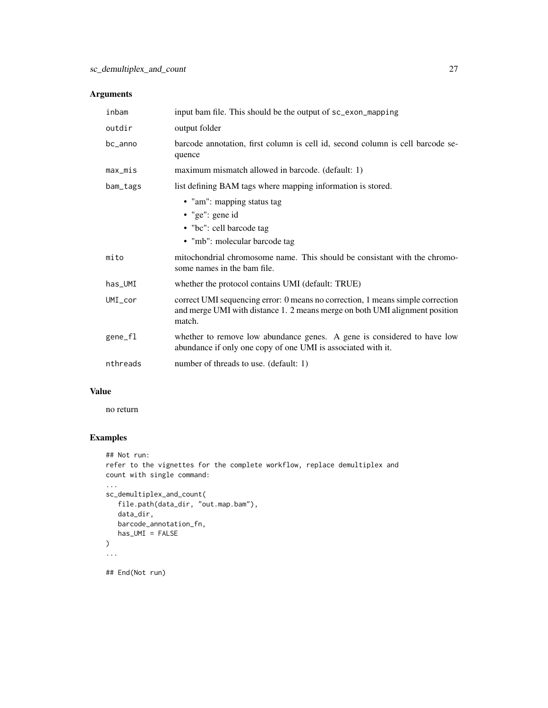## Arguments

| inbam       | input bam file. This should be the output of sc_exon_mapping                                                                                                            |  |
|-------------|-------------------------------------------------------------------------------------------------------------------------------------------------------------------------|--|
| outdir      | output folder                                                                                                                                                           |  |
| bc_anno     | barcode annotation, first column is cell id, second column is cell barcode se-<br>quence                                                                                |  |
| $max\_mis$  | maximum mismatch allowed in barcode. (default: 1)                                                                                                                       |  |
| bam_tags    | list defining BAM tags where mapping information is stored.                                                                                                             |  |
|             | • "am": mapping status tag<br>$\bullet$ "ge": gene id<br>• "bc": cell barcode tag<br>• "mb": molecular barcode tag                                                      |  |
| mito        | mitochondrial chromosome name. This should be consistant with the chromo-<br>some names in the bam file.                                                                |  |
| has_UMI     | whether the protocol contains UMI (default: TRUE)                                                                                                                       |  |
| $UMI_{cor}$ | correct UMI sequencing error: 0 means no correction, 1 means simple correction<br>and merge UMI with distance 1. 2 means merge on both UMI alignment position<br>match. |  |
| gene_fl     | whether to remove low abundance genes. A gene is considered to have low<br>abundance if only one copy of one UMI is associated with it.                                 |  |
| nthreads    | number of threads to use. (default: 1)                                                                                                                                  |  |

## Value

no return

## Examples

```
## Not run:
refer to the vignettes for the complete workflow, replace demultiplex and
count with single command:
...
sc_demultiplex_and_count(
   file.path(data_dir, "out.map.bam"),
   data_dir,
   barcode_annotation_fn,
   has_UMI = FALSE
\mathcal{L}...
## End(Not run)
```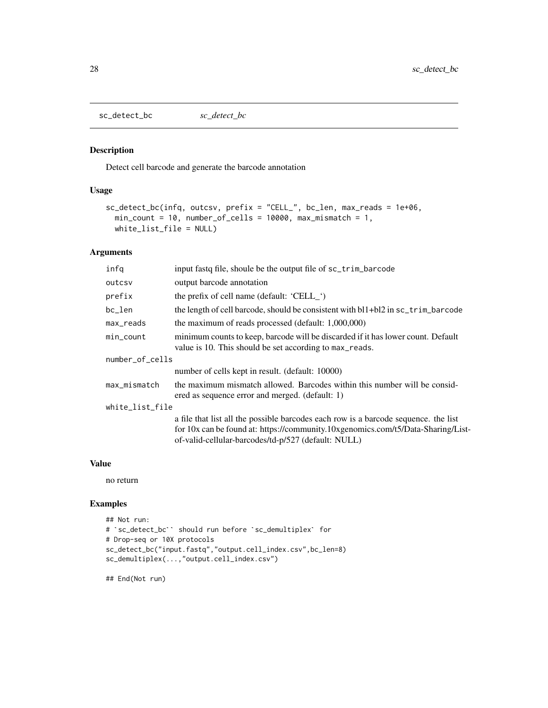<span id="page-27-0"></span>sc\_detect\_bc *sc\_detect\_bc*

#### Description

Detect cell barcode and generate the barcode annotation

#### Usage

```
sc_detect_bc(infq, outcsv, prefix = "CELL_", bc_len, max_reads = 1e+06,
 min\_count = 10, number_of_cells = 10000, max\_mismatch = 1,
 white_list_file = NULL)
```
## Arguments

| infq            | input fast of file, shoule be the output file of sc_trim_barcode                                                                                                                                                               |  |
|-----------------|--------------------------------------------------------------------------------------------------------------------------------------------------------------------------------------------------------------------------------|--|
| outcsy          | output barcode annotation                                                                                                                                                                                                      |  |
| prefix          | the prefix of cell name (default: 'CELL_')                                                                                                                                                                                     |  |
| bc_len          | the length of cell barcode, should be consistent with bl1+bl2 in sc_trim_barcode                                                                                                                                               |  |
| max_reads       | the maximum of reads processed (default: 1,000,000)                                                                                                                                                                            |  |
| $min\_count$    | minimum counts to keep, barcode will be discarded if it has lower count. Default<br>value is 10. This should be set according to max_reads.                                                                                    |  |
| number_of_cells |                                                                                                                                                                                                                                |  |
|                 | number of cells kept in result. (default: 10000)                                                                                                                                                                               |  |
| max_mismatch    | the maximum mismatch allowed. Barcodes within this number will be consid-<br>ered as sequence error and merged. (default: 1)                                                                                                   |  |
| white_list_file |                                                                                                                                                                                                                                |  |
|                 | a file that list all the possible barcodes each row is a barcode sequence, the list<br>for 10x can be found at: https://community.10xgenomics.com/t5/Data-Sharing/List-<br>of-valid-cellular-barcodes/td-p/527 (default: NULL) |  |

## Value

no return

#### Examples

```
## Not run:
# `sc_detect_bc`` should run before `sc_demultiplex` for
# Drop-seq or 10X protocols
sc_detect_bc("input.fastq","output.cell_index.csv",bc_len=8)
sc_demultiplex(...,"output.cell_index.csv")
```
## End(Not run)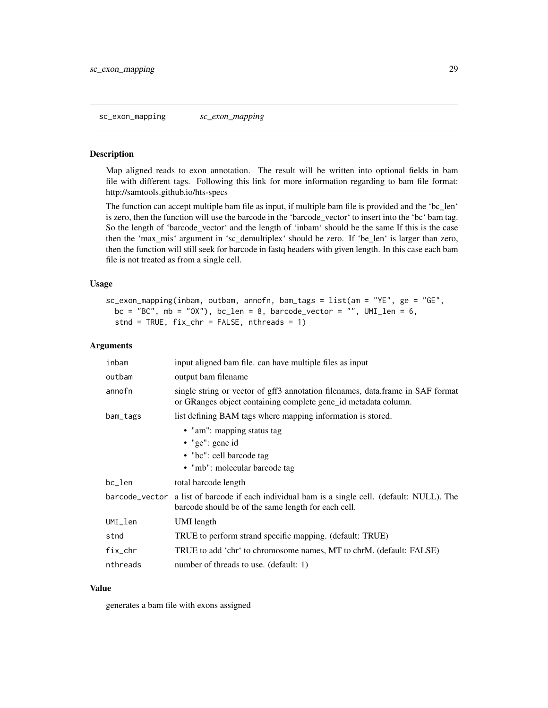<span id="page-28-1"></span><span id="page-28-0"></span>Map aligned reads to exon annotation. The result will be written into optional fields in bam file with different tags. Following this link for more information regarding to bam file format: http://samtools.github.io/hts-specs

The function can accept multiple bam file as input, if multiple bam file is provided and the 'bc\_len' is zero, then the function will use the barcode in the 'barcode\_vector' to insert into the 'bc' bam tag. So the length of 'barcode\_vector' and the length of 'inbam' should be the same If this is the case then the 'max\_mis' argument in 'sc\_demultiplex' should be zero. If 'be\_len' is larger than zero, then the function will still seek for barcode in fastq headers with given length. In this case each bam file is not treated as from a single cell.

#### Usage

```
sc_exon_mapping(inbam, outbam, annofn, bam_tags = list(am = "YE", ge = "GE",
 bc = "BC", mb = "OX"), bc_len = 8, barcode_vector = "", UMI_len = 6,
 stnd = TRUE, fix_{chr} = FALSE, nthreads = 1)
```
#### Arguments

| inbam       | input aligned bam file. can have multiple files as input                                                                                              |  |
|-------------|-------------------------------------------------------------------------------------------------------------------------------------------------------|--|
| outbam      | output bam filename                                                                                                                                   |  |
| annofn      | single string or vector of gff3 annotation filenames, data.frame in SAF format<br>or GRanges object containing complete gene_id metadata column.      |  |
| bam_tags    | list defining BAM tags where mapping information is stored.                                                                                           |  |
|             | • "am": mapping status tag<br>• "ge": gene id<br>• "bc": cell barcode tag<br>• "mb": molecular barcode tag                                            |  |
| bc_len      | total barcode length                                                                                                                                  |  |
|             | barcode_vector a list of barcode if each individual bam is a single cell. (default: NULL). The<br>barcode should be of the same length for each cell. |  |
| $UMI$ $1en$ | UMI length                                                                                                                                            |  |
| stnd        | TRUE to perform strand specific mapping. (default: TRUE)                                                                                              |  |
| $fix\_chr$  | TRUE to add 'chr' to chromosome names, MT to chrM. (default: FALSE)                                                                                   |  |
| nthreads    | number of threads to use. (default: 1)                                                                                                                |  |

#### Value

generates a bam file with exons assigned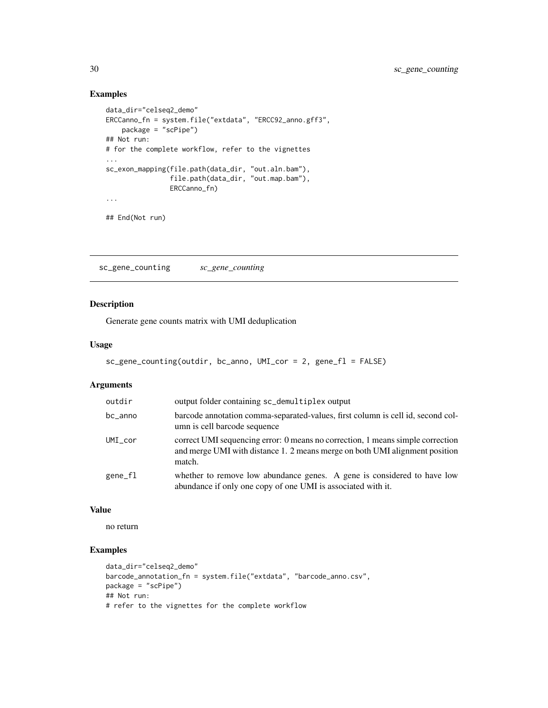## Examples

```
data_dir="celseq2_demo"
ERCCanno_fn = system.file("extdata", "ERCC92_anno.gff3",
   package = "scPipe")
## Not run:
# for the complete workflow, refer to the vignettes
...
sc_exon_mapping(file.path(data_dir, "out.aln.bam"),
                file.path(data_dir, "out.map.bam"),
                ERCCanno_fn)
...
## End(Not run)
```
<span id="page-29-1"></span>sc\_gene\_counting *sc\_gene\_counting*

## Description

Generate gene counts matrix with UMI deduplication

## Usage

```
sc_gene_counting(outdir, bc_anno, UMI_cor = 2, gene_fl = FALSE)
```
## Arguments

| outdir     | output folder containing sc_demultiplex output                                                                                                                          |
|------------|-------------------------------------------------------------------------------------------------------------------------------------------------------------------------|
| bc_anno    | barcode annotation comma-separated-values, first column is cell id, second col-<br>umn is cell barcode sequence                                                         |
| $UMI\_cor$ | correct UMI sequencing error: 0 means no correction, 1 means simple correction<br>and merge UMI with distance 1. 2 means merge on both UMI alignment position<br>match. |
| gene_fl    | whether to remove low abundance genes. A gene is considered to have low<br>abundance if only one copy of one UMI is associated with it.                                 |

#### Value

no return

## Examples

```
data_dir="celseq2_demo"
barcode_annotation_fn = system.file("extdata", "barcode_anno.csv",
package = "scPipe")
## Not run:
# refer to the vignettes for the complete workflow
```
<span id="page-29-0"></span>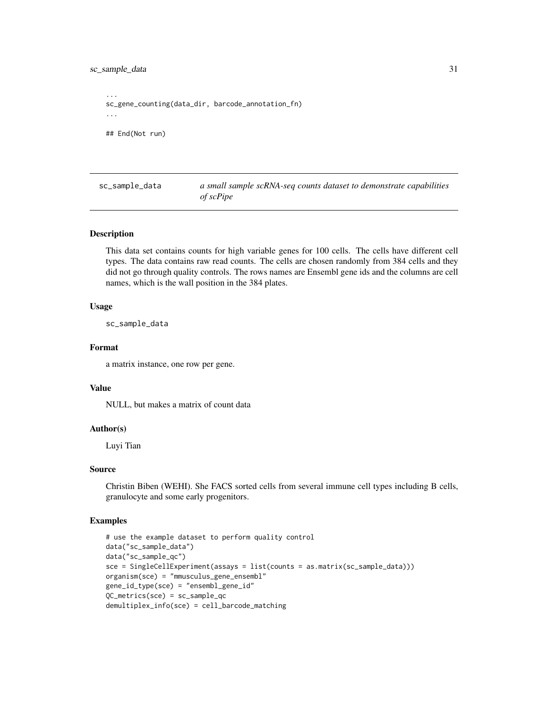<span id="page-30-0"></span>sc\_sample\_data 31

... sc\_gene\_counting(data\_dir, barcode\_annotation\_fn) ... ## End(Not run)

sc\_sample\_data *a small sample scRNA-seq counts dataset to demonstrate capabilities of scPipe*

#### Description

This data set contains counts for high variable genes for 100 cells. The cells have different cell types. The data contains raw read counts. The cells are chosen randomly from 384 cells and they did not go through quality controls. The rows names are Ensembl gene ids and the columns are cell names, which is the wall position in the 384 plates.

#### Usage

sc\_sample\_data

#### Format

a matrix instance, one row per gene.

#### Value

NULL, but makes a matrix of count data

#### Author(s)

Luyi Tian

#### Source

Christin Biben (WEHI). She FACS sorted cells from several immune cell types including B cells, granulocyte and some early progenitors.

## Examples

```
# use the example dataset to perform quality control
data("sc_sample_data")
data("sc_sample_qc")
sce = SingleCellExperiment(assays = list(counts = as.matrix(sc_sample_data)))
organism(sce) = "mmusculus_gene_ensembl"
gene_id_type(sce) = "ensembl_gene_id"
QC_metrics(sce) = sc_sample_qc
demultiplex_info(sce) = cell_barcode_matching
```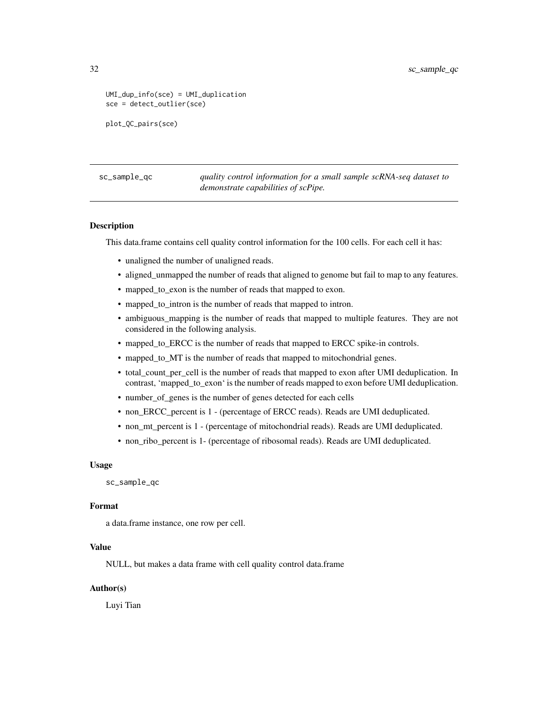```
UMI_dup_info(sce) = UMI_duplication
sce = detect_outlier(sce)
plot_QC_pairs(sce)
```
sc\_sample\_qc *quality control information for a small sample scRNA-seq dataset to demonstrate capabilities of scPipe.*

#### Description

This data.frame contains cell quality control information for the 100 cells. For each cell it has:

- unaligned the number of unaligned reads.
- aligned\_unmapped the number of reads that aligned to genome but fail to map to any features.
- mapped\_to\_exon is the number of reads that mapped to exon.
- mapped\_to\_intron is the number of reads that mapped to intron.
- ambiguous\_mapping is the number of reads that mapped to multiple features. They are not considered in the following analysis.
- mapped\_to\_ERCC is the number of reads that mapped to ERCC spike-in controls.
- mapped\_to\_MT is the number of reads that mapped to mitochondrial genes.
- total count per cell is the number of reads that mapped to exon after UMI deduplication. In contrast, 'mapped\_to\_exon' is the number of reads mapped to exon before UMI deduplication.
- number\_of\_genes is the number of genes detected for each cells
- non\_ERCC\_percent is 1 (percentage of ERCC reads). Reads are UMI deduplicated.
- non\_mt\_percent is 1 (percentage of mitochondrial reads). Reads are UMI deduplicated.
- non\_ribo\_percent is 1- (percentage of ribosomal reads). Reads are UMI deduplicated.

#### Usage

sc\_sample\_qc

## Format

a data.frame instance, one row per cell.

#### Value

NULL, but makes a data frame with cell quality control data.frame

#### Author(s)

Luyi Tian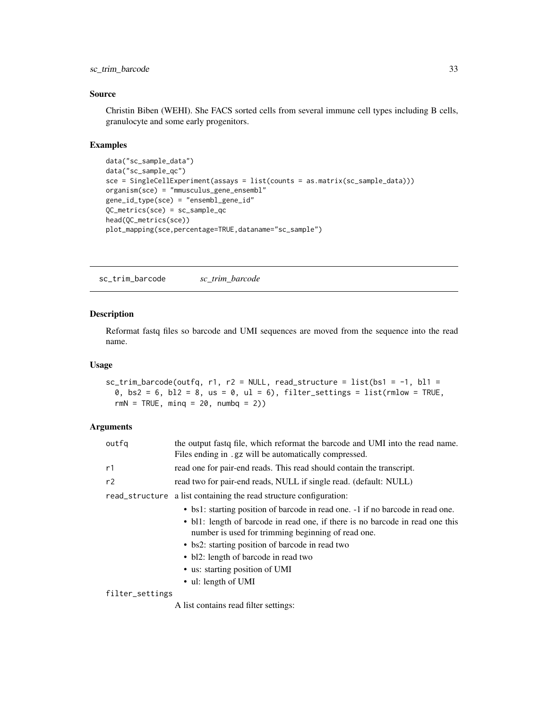## <span id="page-32-0"></span>sc\_trim\_barcode 33

## Source

Christin Biben (WEHI). She FACS sorted cells from several immune cell types including B cells, granulocyte and some early progenitors.

## Examples

```
data("sc_sample_data")
data("sc_sample_qc")
sce = SingleCellExperiment(assays = list(counts = as.matrix(sc_sample_data)))
organism(sce) = "mmusculus_gene_ensembl"
gene_id_type(sce) = "ensembl_gene_id"
QC_metrics(sce) = sc_sample_qc
head(QC_metrics(sce))
plot_mapping(sce,percentage=TRUE,dataname="sc_sample")
```
sc\_trim\_barcode *sc\_trim\_barcode*

## Description

Reformat fastq files so barcode and UMI sequences are moved from the sequence into the read name.

#### Usage

```
sc\_trim\_barcode(outfq, r1, r2 = NULL, read\_structure = list(bs1 = -1, b11 =0, bs2 = 6, bl2 = 8, us = 0, ul = 6), filter_settings = list(rmlow = TRUE,
 rmN = TRUE, minq = 20, numbq = 2)
```
## Arguments

| outfg           | the output fastq file, which reformat the barcode and UMI into the read name.<br>Files ending in .gz will be automatically compressed.                                                                                                                                                                                                                                    |  |
|-----------------|---------------------------------------------------------------------------------------------------------------------------------------------------------------------------------------------------------------------------------------------------------------------------------------------------------------------------------------------------------------------------|--|
| r1              | read one for pair-end reads. This read should contain the transcript.                                                                                                                                                                                                                                                                                                     |  |
| r2              | read two for pair-end reads, NULL if single read. (default: NULL)                                                                                                                                                                                                                                                                                                         |  |
| read_structure  | a list containing the read structure configuration:                                                                                                                                                                                                                                                                                                                       |  |
|                 | • bs1: starting position of barcode in read one. -1 if no barcode in read one.<br>• bl1: length of barcode in read one, if there is no barcode in read one this<br>number is used for trimming beginning of read one.<br>• bs2: starting position of barcode in read two<br>• bl2: length of barcode in read two<br>• us: starting position of UMI<br>• ul: length of UMI |  |
| filter_settings |                                                                                                                                                                                                                                                                                                                                                                           |  |
|                 | A list contains read filter settings:                                                                                                                                                                                                                                                                                                                                     |  |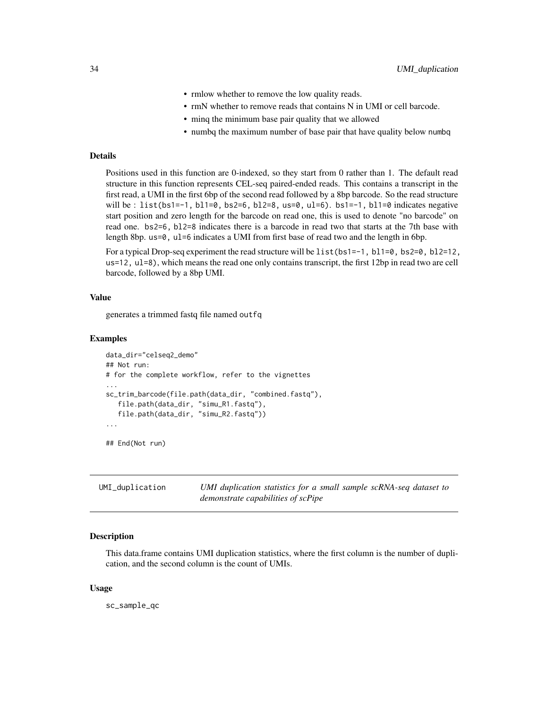- rmlow whether to remove the low quality reads.
- rmN whether to remove reads that contains N in UMI or cell barcode.
- minq the minimum base pair quality that we allowed
- numbq the maximum number of base pair that have quality below numbq

## <span id="page-33-0"></span>Details

Positions used in this function are 0-indexed, so they start from 0 rather than 1. The default read structure in this function represents CEL-seq paired-ended reads. This contains a transcript in the first read, a UMI in the first 6bp of the second read followed by a 8bp barcode. So the read structure will be : list(bs1=-1, bl1=0, bs2=6, bl2=8, us=0, ul=6). bs1=-1, bl1=0 indicates negative start position and zero length for the barcode on read one, this is used to denote "no barcode" on read one. bs2=6, bl2=8 indicates there is a barcode in read two that starts at the 7th base with length 8bp.  $us=0$ ,  $ul=6$  indicates a UMI from first base of read two and the length in 6bp.

For a typical Drop-seq experiment the read structure will be  $list(bs1=-1, b1=0, bs2=0, b12=12,$ us=12, ul=8), which means the read one only contains transcript, the first 12bp in read two are cell barcode, followed by a 8bp UMI.

#### Value

generates a trimmed fastq file named outfq

#### Examples

```
data_dir="celseq2_demo"
## Not run:
# for the complete workflow, refer to the vignettes
...
sc_trim_barcode(file.path(data_dir, "combined.fastq"),
   file.path(data_dir, "simu_R1.fastq"),
   file.path(data_dir, "simu_R2.fastq"))
...
```
## End(Not run)

UMI\_duplication *UMI duplication statistics for a small sample scRNA-seq dataset to demonstrate capabilities of scPipe*

## **Description**

This data.frame contains UMI duplication statistics, where the first column is the number of duplication, and the second column is the count of UMIs.

#### Usage

sc\_sample\_qc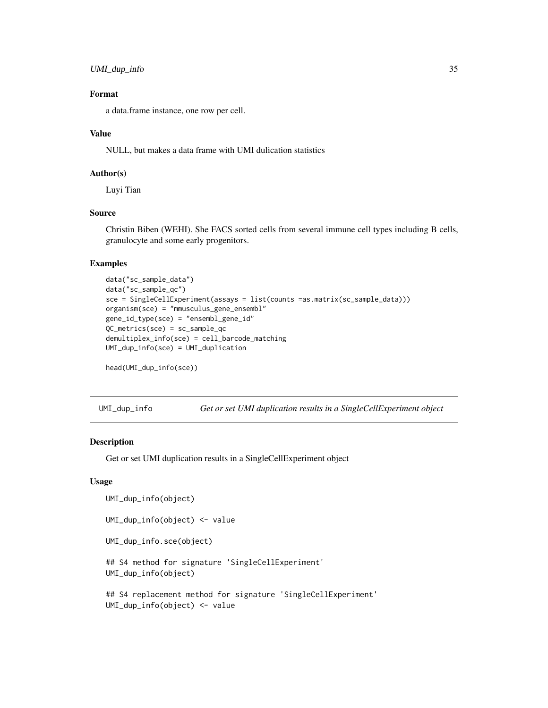```
UMI_dup_info 35
```
## Format

a data.frame instance, one row per cell.

#### Value

NULL, but makes a data frame with UMI dulication statistics

## Author(s)

Luyi Tian

## Source

Christin Biben (WEHI). She FACS sorted cells from several immune cell types including B cells, granulocyte and some early progenitors.

## Examples

```
data("sc_sample_data")
data("sc_sample_qc")
sce = SingleCellExperiment(assays = list(counts =as.matrix(sc_sample_data)))
organism(sce) = "mmusculus_gene_ensembl"
gene_id_type(sce) = "ensembl_gene_id"
QC_metrics(sce) = sc_sample_qc
demultiplex_info(sce) = cell_barcode_matching
UMI_dup_info(sce) = UMI_duplication
```

```
head(UMI_dup_info(sce))
```
UMI\_dup\_info *Get or set UMI duplication results in a SingleCellExperiment object*

## Description

Get or set UMI duplication results in a SingleCellExperiment object

## Usage

```
UMI_dup_info(object)
UMI_dup_info(object) <- value
UMI_dup_info.sce(object)
## S4 method for signature 'SingleCellExperiment'
UMI_dup_info(object)
## S4 replacement method for signature 'SingleCellExperiment'
UMI_dup_info(object) <- value
```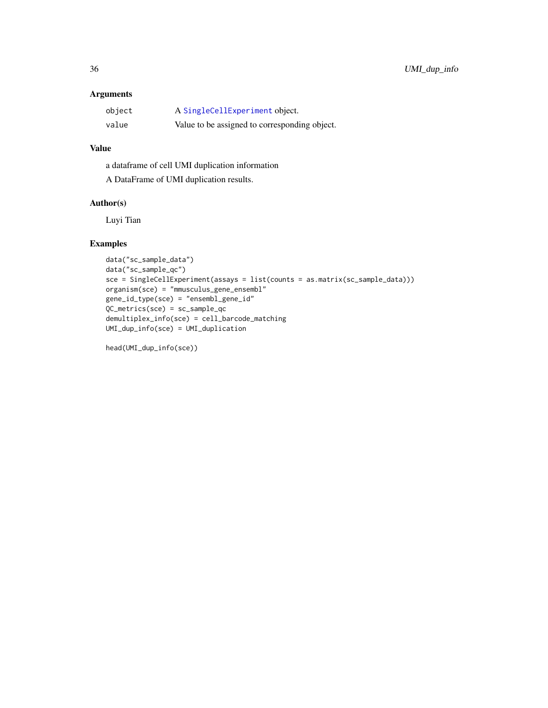## <span id="page-35-0"></span>Arguments

| object | A SingleCellExperiment object.                |
|--------|-----------------------------------------------|
| value  | Value to be assigned to corresponding object. |

## Value

a dataframe of cell UMI duplication information A DataFrame of UMI duplication results.

## Author(s)

Luyi Tian

## Examples

```
data("sc_sample_data")
data("sc_sample_qc")
sce = SingleCellExperiment(assays = list(counts = as.matrix(sc_sample_data)))
organism(sce) = "mmusculus_gene_ensembl"
gene_id_type(sce) = "ensembl_gene_id"
QC_metrics(sce) = sc_sample_qc
demultiplex_info(sce) = cell_barcode_matching
UMI_dup_info(sce) = UMI_duplication
```
head(UMI\_dup\_info(sce))